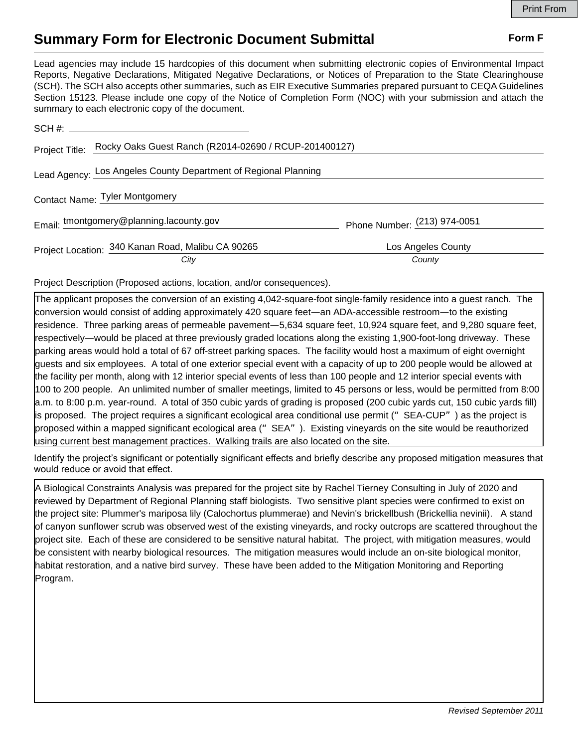## **Summary Form for Electronic Document Submittal Form F Form F**

Lead agencies may include 15 hardcopies of this document when submitting electronic copies of Environmental Impact Reports, Negative Declarations, Mitigated Negative Declarations, or Notices of Preparation to the State Clearinghouse (SCH). The SCH also accepts other summaries, such as EIR Executive Summaries prepared pursuant to CEQA Guidelines Section 15123. Please include one copy of the Notice of Completion Form (NOC) with your submission and attach the summary to each electronic copy of the document.

|                                | Project Title: Rocky Oaks Guest Ranch (R2014-02690 / RCUP-201400127) |                              |
|--------------------------------|----------------------------------------------------------------------|------------------------------|
|                                | Lead Agency: Los Angeles County Department of Regional Planning      |                              |
| Contact Name: Tyler Montgomery |                                                                      |                              |
|                                | Email: tmontgomery@planning.lacounty.gov                             | Phone Number: (213) 974-0051 |
|                                | Project Location: 340 Kanan Road, Malibu CA 90265                    | Los Angeles County           |
|                                | City                                                                 | County                       |

Project Description (Proposed actions, location, and/or consequences).

The applicant proposes the conversion of an existing 4,042-square-foot single-family residence into a guest ranch. The conversion would consist of adding approximately 420 square feet—an ADA-accessible restroom—to the existing residence. Three parking areas of permeable pavement—5,634 square feet, 10,924 square feet, and 9,280 square feet, respectively—would be placed at three previously graded locations along the existing 1,900-foot-long driveway. These parking areas would hold a total of 67 off-street parking spaces. The facility would host a maximum of eight overnight guests and six employees. A total of one exterior special event with a capacity of up to 200 people would be allowed at the facility per month, along with 12 interior special events of less than 100 people and 12 interior special events with 100 to 200 people. An unlimited number of smaller meetings, limited to 45 persons or less, would be permitted from 8:00 a.m. to 8:00 p.m. year-round. A total of 350 cubic yards of grading is proposed (200 cubic yards cut, 150 cubic yards fill) is proposed. The project requires a significant ecological area conditional use permit ("SEA-CUP") as the project is proposed within a mapped significant ecological area ("SEA"). Existing vineyards on the site would be reauthorized using current best management practices. Walking trails are also located on the site.

Identify the project's significant or potentially significant effects and briefly describe any proposed mitigation measures that would reduce or avoid that effect.

A Biological Constraints Analysis was prepared for the project site by Rachel Tierney Consulting in July of 2020 and reviewed by Department of Regional Planning staff biologists. Two sensitive plant species were confirmed to exist on the project site: Plummer's mariposa lily (Calochortus plummerae) and Nevin's brickellbush (Brickellia nevinii). A stand of canyon sunflower scrub was observed west of the existing vineyards, and rocky outcrops are scattered throughout the project site. Each of these are considered to be sensitive natural habitat. The project, with mitigation measures, would be consistent with nearby biological resources. The mitigation measures would include an on-site biological monitor, habitat restoration, and a native bird survey. These have been added to the Mitigation Monitoring and Reporting Program.